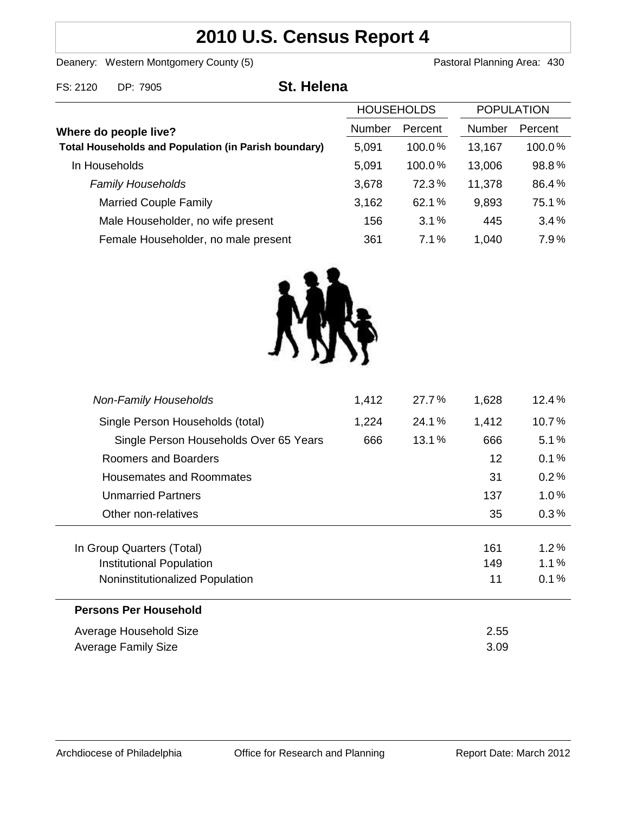# **2010 U.S. Census Report 4**

Deanery: Western Montgomery County (5) **Pastoral Planning Area: 430** 

| FS: 2120                                                                             | DP: 7905                            | <b>St. Helena</b> |                   |               |                   |  |
|--------------------------------------------------------------------------------------|-------------------------------------|-------------------|-------------------|---------------|-------------------|--|
|                                                                                      |                                     |                   | <b>HOUSEHOLDS</b> |               | <b>POPULATION</b> |  |
| Where do people live?<br><b>Total Households and Population (in Parish boundary)</b> |                                     | Number            | Percent           | <b>Number</b> | Percent           |  |
|                                                                                      |                                     | 5,091             | $100.0\%$         | 13,167        | 100.0%            |  |
|                                                                                      | In Households                       | 5,091             | 100.0%            | 13,006        | 98.8%             |  |
|                                                                                      | <b>Family Households</b>            | 3,678             | 72.3%             | 11,378        | 86.4%             |  |
|                                                                                      | <b>Married Couple Family</b>        | 3,162             | 62.1%             | 9,893         | 75.1%             |  |
|                                                                                      | Male Householder, no wife present   | 156               | 3.1%              | 445           | 3.4%              |  |
|                                                                                      | Female Householder, no male present | 361               | 7.1%              | 1,040         | 7.9%              |  |



| <b>Non-Family Households</b>           | 1,412 | 27.7% | 1,628 | $12.4\%$ |
|----------------------------------------|-------|-------|-------|----------|
| Single Person Households (total)       | 1,224 | 24.1% | 1,412 | 10.7%    |
| Single Person Households Over 65 Years | 666   | 13.1% | 666   | 5.1%     |
| Roomers and Boarders                   |       |       | 12    | 0.1%     |
| Housemates and Roommates               |       |       | 31    | 0.2%     |
| <b>Unmarried Partners</b>              |       |       | 137   | $1.0\%$  |
| Other non-relatives                    |       |       | 35    | $0.3\%$  |
|                                        |       |       |       |          |
| In Group Quarters (Total)              |       |       | 161   | $1.2\%$  |
| Institutional Population               |       |       | 149   | 1.1%     |
| Noninstitutionalized Population        |       |       | 11    | 0.1%     |
| <b>Persons Per Household</b>           |       |       |       |          |
| Average Household Size                 |       | 2.55  |       |          |
| Average Family Size                    |       |       | 3.09  |          |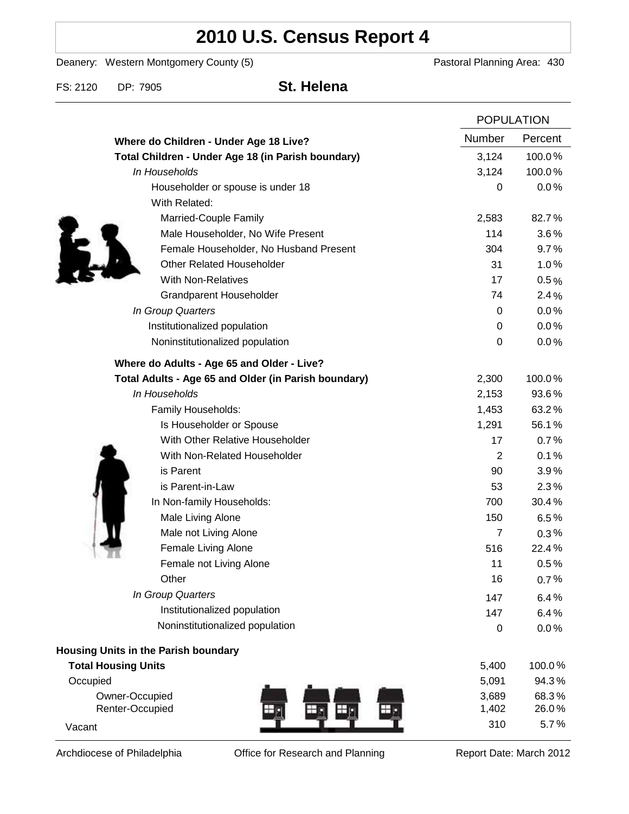# **2010 U.S. Census Report 4**

Deanery: Western Montgomery County (5) Deanery: Western Montgomery County (5)

FS: 2120 DP: 7905 **St. Helena**

|                                                      |                  | <b>POPULATION</b> |  |
|------------------------------------------------------|------------------|-------------------|--|
| Where do Children - Under Age 18 Live?               | Number           | Percent           |  |
| Total Children - Under Age 18 (in Parish boundary)   | 3,124            | 100.0%            |  |
| In Households                                        | 3,124            | 100.0%            |  |
| Householder or spouse is under 18                    | 0                | 0.0%              |  |
| With Related:                                        |                  |                   |  |
| Married-Couple Family                                | 2,583            | 82.7%             |  |
| Male Householder, No Wife Present                    | 114              | 3.6%              |  |
| Female Householder, No Husband Present               | 304              | 9.7%              |  |
| <b>Other Related Householder</b>                     | 31               | 1.0%              |  |
| <b>With Non-Relatives</b>                            | 17               | 0.5%              |  |
| Grandparent Householder                              | 74               | 2.4%              |  |
| In Group Quarters                                    | 0                | 0.0%              |  |
| Institutionalized population                         | 0                | 0.0%              |  |
| Noninstitutionalized population                      | $\boldsymbol{0}$ | 0.0%              |  |
| Where do Adults - Age 65 and Older - Live?           |                  |                   |  |
| Total Adults - Age 65 and Older (in Parish boundary) | 2,300            | 100.0%            |  |
| In Households                                        | 2,153            | 93.6%             |  |
| Family Households:                                   | 1,453            | 63.2%             |  |
| Is Householder or Spouse                             | 1,291            | 56.1%             |  |
| With Other Relative Householder                      | 17               | 0.7%              |  |
| With Non-Related Householder                         | 2                | 0.1%              |  |
| is Parent                                            | 90               | 3.9%              |  |
| is Parent-in-Law                                     | 53               | 2.3%              |  |
| In Non-family Households:                            | 700              | 30.4%             |  |
| Male Living Alone                                    | 150              | 6.5%              |  |
| Male not Living Alone                                | $\overline{7}$   | $0.3\%$           |  |
| Female Living Alone                                  | 516              | 22.4%             |  |
| Female not Living Alone                              | 11               | 0.5%              |  |
| Other                                                | 16               | 0.7%              |  |
| In Group Quarters                                    | 147              | 6.4%              |  |
| Institutionalized population                         | 147              | 6.4%              |  |
| Noninstitutionalized population                      | $\boldsymbol{0}$ | 0.0%              |  |
| Housing Units in the Parish boundary                 |                  |                   |  |
| <b>Total Housing Units</b>                           | 5,400            | 100.0%            |  |
| Occupied                                             | 5,091            | 94.3%             |  |
| Owner-Occupied                                       | 3,689            | 68.3%             |  |
| Renter-Occupied                                      | 1,402            | 26.0%             |  |
| Vacant                                               | 310              | 5.7%              |  |

Archdiocese of Philadelphia **Office for Research and Planning** Report Date: March 2012